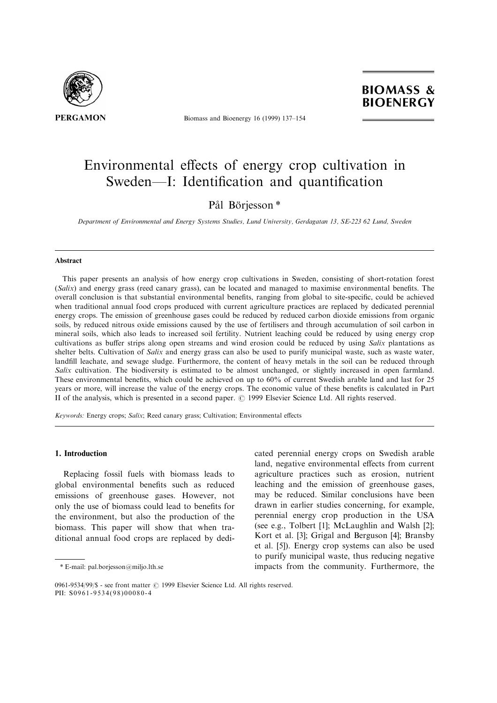

Biomass and Bioenergy 16 (1999) 137-154



# Environmental effects of energy crop cultivation in Sweden—I: Identification and quantification

# Pål Börjesson\*

Department of Environmental and Energy Systems Studies, Lund University, Gerdagatan 13, SE-223 62 Lund, Sweden

#### Abstract

This paper presents an analysis of how energy crop cultivations in Sweden, consisting of short-rotation forest (Salix) and energy grass (reed canary grass), can be located and managed to maximise environmental benefits. The overall conclusion is that substantial environmental benefits, ranging from global to site-specific, could be achieved when traditional annual food crops produced with current agriculture practices are replaced by dedicated perennial energy crops. The emission of greenhouse gases could be reduced by reduced carbon dioxide emissions from organic soils, by reduced nitrous oxide emissions caused by the use of fertilisers and through accumulation of soil carbon in mineral soils, which also leads to increased soil fertility. Nutrient leaching could be reduced by using energy crop cultivations as buffer strips along open streams and wind erosion could be reduced by using Salix plantations as shelter belts. Cultivation of Salix and energy grass can also be used to purify municipal waste, such as waste water, landfill leachate, and sewage sludge. Furthermore, the content of heavy metals in the soil can be reduced through Salix cultivation. The biodiversity is estimated to be almost unchanged, or slightly increased in open farmland. These environmental benefits, which could be achieved on up to  $60\%$  of current Swedish arable land and last for 25 years or more, will increase the value of the energy crops. The economic value of these benefits is calculated in Part II of the analysis, which is presented in a second paper.  $\odot$  1999 Elsevier Science Ltd. All rights reserved.

Keywords: Energy crops; Salix; Reed canary grass; Cultivation; Environmental effects

# 1. Introduction

Replacing fossil fuels with biomass leads to global environmental benefits such as reduced emissions of greenhouse gases. However, not only the use of biomass could lead to benefits for the environment, but also the production of the biomass. This paper will show that when traditional annual food crops are replaced by dedicated perennial energy crops on Swedish arable land, negative environmental effects from current agriculture practices such as erosion, nutrient leaching and the emission of greenhouse gases, may be reduced. Similar conclusions have been drawn in earlier studies concerning, for example, perennial energy crop production in the USA (see e.g., Tolbert [1]; McLaughlin and Walsh [2]; Kort et al. [3]; Grigal and Berguson [4]; Bransby et al. [5]). Energy crop systems can also be used to purify municipal waste, thus reducing negative impacts from the community. Furthermore, the

<sup>\*</sup> E-mail: pal.borjesson@miljo.lth.se

<sup>0961-9534/99/\$ -</sup> see front matter © 1999 Elsevier Science Ltd. All rights reserved. PII:  $S0961 - 9534(98)00080 - 4$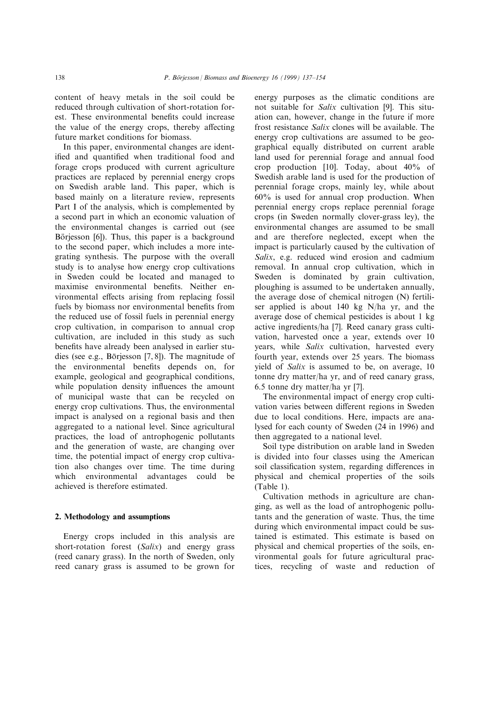content of heavy metals in the soil could be reduced through cultivation of short-rotation forest. These environmental benefits could increase the value of the energy crops, thereby affecting future market conditions for biomass.

In this paper, environmental changes are identified and quantified when traditional food and forage crops produced with current agriculture practices are replaced by perennial energy crops on Swedish arable land. This paper, which is based mainly on a literature review, represents Part I of the analysis, which is complemented by a second part in which an economic valuation of the environmental changes is carried out (see Börjesson [6]). Thus, this paper is a background to the second paper, which includes a more integrating synthesis. The purpose with the overall study is to analyse how energy crop cultivations in Sweden could be located and managed to maximise environmental benefits. Neither environmental effects arising from replacing fossil fuels by biomass nor environmental benefits from the reduced use of fossil fuels in perennial energy crop cultivation, in comparison to annual crop cultivation, are included in this study as such benefits have already been analysed in earlier studies (see e.g., Börjesson  $[7, 8]$ ). The magnitude of the environmental benefits depends on, for example, geological and geographical conditions, while population density influences the amount of municipal waste that can be recycled on energy crop cultivations. Thus, the environmental impact is analysed on a regional basis and then aggregated to a national level. Since agricultural practices, the load of antrophogenic pollutants and the generation of waste, are changing over time, the potential impact of energy crop cultivation also changes over time. The time during which environmental advantages could be achieved is therefore estimated.

#### 2. Methodology and assumptions

Energy crops included in this analysis are short-rotation forest (Salix) and energy grass (reed canary grass). In the north of Sweden, only reed canary grass is assumed to be grown for energy purposes as the climatic conditions are not suitable for Salix cultivation [9]. This situation can, however, change in the future if more frost resistance Salix clones will be available. The energy crop cultivations are assumed to be geographical equally distributed on current arable land used for perennial forage and annual food crop production [10]. Today, about 40% of Swedish arable land is used for the production of perennial forage crops, mainly ley, while about 60% is used for annual crop production. When perennial energy crops replace perennial forage crops (in Sweden normally clover-grass ley), the environmental changes are assumed to be small and are therefore neglected, except when the impact is particularly caused by the cultivation of Salix, e.g. reduced wind erosion and cadmium removal. In annual crop cultivation, which in Sweden is dominated by grain cultivation, ploughing is assumed to be undertaken annually, the average dose of chemical nitrogen (N) fertiliser applied is about 140 kg N/ha yr, and the average dose of chemical pesticides is about 1 kg active ingredients/ha [7]. Reed canary grass cultivation, harvested once a year, extends over 10 years, while Salix cultivation, harvested every fourth year, extends over 25 years. The biomass yield of Salix is assumed to be, on average, 10 tonne dry matter/ha yr, and of reed canary grass, 6.5 tonne dry matter/ha yr [7].

The environmental impact of energy crop cultivation varies between different regions in Sweden due to local conditions. Here, impacts are analysed for each county of Sweden (24 in 1996) and then aggregated to a national level.

Soil type distribution on arable land in Sweden is divided into four classes using the American soil classification system, regarding differences in physical and chemical properties of the soils (Table 1).

Cultivation methods in agriculture are changing, as well as the load of antrophogenic pollutants and the generation of waste. Thus, the time during which environmental impact could be sustained is estimated. This estimate is based on physical and chemical properties of the soils, environmental goals for future agricultural practices, recycling of waste and reduction of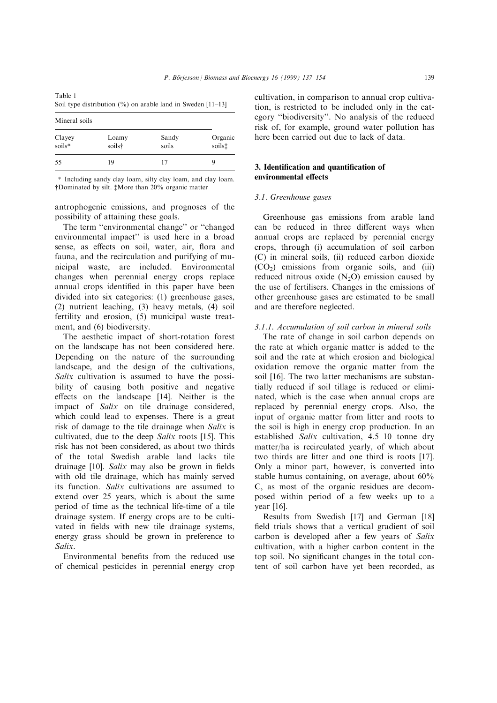| Table 1                                                         |  |
|-----------------------------------------------------------------|--|
| Soil type distribution $(\% )$ on arable land in Sweden [11–13] |  |

| Mineral soils    |                 |                |                   |
|------------------|-----------------|----------------|-------------------|
| Clayey<br>soils* | Loamy<br>soils† | Sandy<br>soils | Organic<br>soils‡ |
| 55               | 19              | 17             |                   |

\* Including sandy clay loam, silty clay loam, and clay loam. \$Dominated by silt. %More than 20% organic matter

antrophogenic emissions, and prognoses of the possibility of attaining these goals.

The term "environmental change" or "changed" environmental impact'' is used here in a broad sense, as effects on soil, water, air, flora and fauna, and the recirculation and purifying of municipal waste, are included. Environmental changes when perennial energy crops replace annual crops identified in this paper have been divided into six categories: (1) greenhouse gases, (2) nutrient leaching, (3) heavy metals, (4) soil fertility and erosion, (5) municipal waste treatment, and (6) biodiversity.

The aesthetic impact of short-rotation forest on the landscape has not been considered here. Depending on the nature of the surrounding landscape, and the design of the cultivations, Salix cultivation is assumed to have the possibility of causing both positive and negative effects on the landscape [14]. Neither is the impact of Salix on tile drainage considered, which could lead to expenses. There is a great risk of damage to the tile drainage when Salix is cultivated, due to the deep Salix roots [15]. This risk has not been considered, as about two thirds of the total Swedish arable land lacks tile drainage  $[10]$ . Salix may also be grown in fields with old tile drainage, which has mainly served its function. Salix cultivations are assumed to extend over 25 years, which is about the same period of time as the technical life-time of a tile drainage system. If energy crops are to be cultivated in fields with new tile drainage systems, energy grass should be grown in preference to Salix.

Environmental benefits from the reduced use of chemical pesticides in perennial energy crop cultivation, in comparison to annual crop cultivation, is restricted to be included only in the category "biodiversity". No analysis of the reduced risk of, for example, ground water pollution has here been carried out due to lack of data.

# 3. Identification and quantification of environmental effects

# 3.1. Greenhouse gases

Greenhouse gas emissions from arable land can be reduced in three different ways when annual crops are replaced by perennial energy crops, through (i) accumulation of soil carbon (C) in mineral soils, (ii) reduced carbon dioxide  $(CO<sub>2</sub>)$  emissions from organic soils, and (iii) reduced nitrous oxide  $(N_2O)$  emission caused by the use of fertilisers. Changes in the emissions of other greenhouse gases are estimated to be small and are therefore neglected.

# 3.1.1. Accumulation of soil carbon in mineral soils

The rate of change in soil carbon depends on the rate at which organic matter is added to the soil and the rate at which erosion and biological oxidation remove the organic matter from the soil [16]. The two latter mechanisms are substantially reduced if soil tillage is reduced or eliminated, which is the case when annual crops are replaced by perennial energy crops. Also, the input of organic matter from litter and roots to the soil is high in energy crop production. In an established Salix cultivation,  $4.5-10$  tonne dry matter/ha is recirculated yearly, of which about two thirds are litter and one third is roots [17]. Only a minor part, however, is converted into stable humus containing, on average, about 60% C, as most of the organic residues are decomposed within period of a few weeks up to a year [16].

Results from Swedish [17] and German [18] field trials shows that a vertical gradient of soil carbon is developed after a few years of Salix cultivation, with a higher carbon content in the top soil. No significant changes in the total content of soil carbon have yet been recorded, as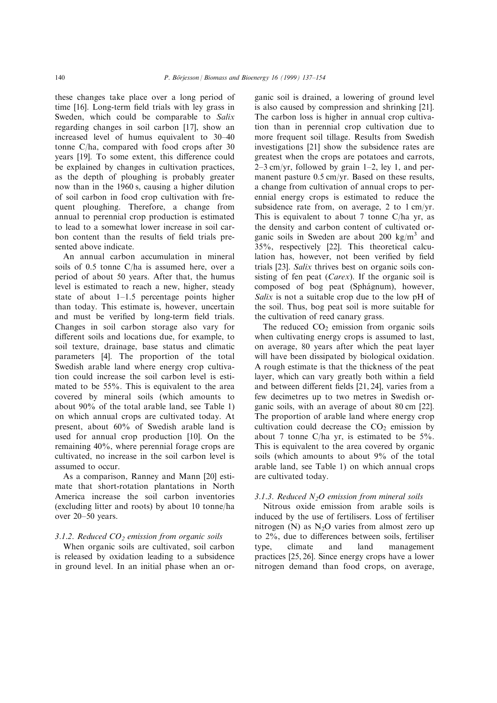these changes take place over a long period of time  $[16]$ . Long-term field trials with ley grass in Sweden, which could be comparable to Salix regarding changes in soil carbon [17], show an increased level of humus equivalent to  $30-40$ tonne C/ha, compared with food crops after 30 years [19]. To some extent, this difference could be explained by changes in cultivation practices, as the depth of ploughing is probably greater now than in the 1960 s, causing a higher dilution of soil carbon in food crop cultivation with frequent ploughing. Therefore, a change from annual to perennial crop production is estimated to lead to a somewhat lower increase in soil carbon content than the results of field trials presented above indicate.

An annual carbon accumulation in mineral soils of 0.5 tonne C/ha is assumed here, over a period of about 50 years. After that, the humus level is estimated to reach a new, higher, steady state of about  $1-1.5$  percentage points higher than today. This estimate is, however, uncertain and must be verified by long-term field trials. Changes in soil carbon storage also vary for different soils and locations due, for example, to soil texture, drainage, base status and climatic parameters [4]. The proportion of the total Swedish arable land where energy crop cultivation could increase the soil carbon level is estimated to be 55%. This is equivalent to the area covered by mineral soils (which amounts to about 90% of the total arable land, see Table 1) on which annual crops are cultivated today. At present, about 60% of Swedish arable land is used for annual crop production [10]. On the remaining 40%, where perennial forage crops are cultivated, no increase in the soil carbon level is assumed to occur.

As a comparison, Ranney and Mann [20] estimate that short-rotation plantations in North America increase the soil carbon inventories (excluding litter and roots) by about 10 tonne/ha over 20-50 years.

#### 3.1.2. Reduced  $CO<sub>2</sub>$  emission from organic soils

When organic soils are cultivated, soil carbon is released by oxidation leading to a subsidence in ground level. In an initial phase when an or-

ganic soil is drained, a lowering of ground level is also caused by compression and shrinking [21]. The carbon loss is higher in annual crop cultivation than in perennial crop cultivation due to more frequent soil tillage. Results from Swedish investigations [21] show the subsidence rates are greatest when the crops are potatoes and carrots,  $2-3$  cm/yr, followed by grain  $1-2$ , ley 1, and permanent pasture 0.5 cm/yr. Based on these results, a change from cultivation of annual crops to perennial energy crops is estimated to reduce the subsidence rate from, on average, 2 to 1 cm/yr. This is equivalent to about 7 tonne C/ha yr, as the density and carbon content of cultivated organic soils in Sweden are about 200  $kg/m<sup>3</sup>$  and 35%, respectively [22]. This theoretical calculation has, however, not been verified by field trials [23]. Salix thrives best on organic soils consisting of fen peat (*Carex*). If the organic soil is composed of bog peat (Sphágnum), however, Salix is not a suitable crop due to the low pH of the soil. Thus, bog peat soil is more suitable for the cultivation of reed canary grass.

The reduced  $CO<sub>2</sub>$  emission from organic soils when cultivating energy crops is assumed to last, on average, 80 years after which the peat layer will have been dissipated by biological oxidation. A rough estimate is that the thickness of the peat layer, which can vary greatly both within a field and between different fields  $[21, 24]$ , varies from a few decimetres up to two metres in Swedish organic soils, with an average of about 80 cm [22]. The proportion of arable land where energy crop cultivation could decrease the  $CO<sub>2</sub>$  emission by about 7 tonne C/ha yr, is estimated to be 5%. This is equivalent to the area covered by organic soils (which amounts to about 9% of the total arable land, see Table 1) on which annual crops are cultivated today.

# 3.1.3. Reduced  $N_2O$  emission from mineral soils

Nitrous oxide emission from arable soils is induced by the use of fertilisers. Loss of fertiliser nitrogen (N) as  $N_2O$  varies from almost zero up to  $2\%$ , due to differences between soils, fertiliser type, climate and land management practices [25, 26]. Since energy crops have a lower nitrogen demand than food crops, on average,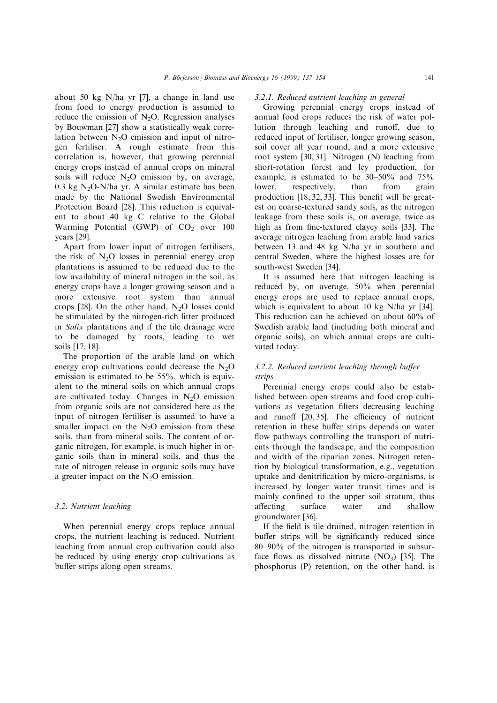about 50 kg N/ha yr [7], a change in land use from food to energy production is assumed to reduce the emission of  $N_2O$ . Regression analyses by Bouwman [27] show a statistically weak correlation between  $N<sub>2</sub>O$  emission and input of nitrogen fertiliser. A rough estimate from this correlation is, however, that growing perennial energy crops instead of annual crops on mineral soils will reduce  $N_2O$  emission by, on average, 0.3 kg  $N_2O-N/ha$  yr. A similar estimate has been made by the National Swedish Environmental Protection Board [28]. This reduction is equivalent to about 40 kg C relative to the Global Warming Potential (GWP) of  $CO<sub>2</sub>$  over 100 years [29].

Apart from lower input of nitrogen fertilisers, the risk of  $N_2O$  losses in perennial energy crop plantations is assumed to be reduced due to the low availability of mineral nitrogen in the soil, as energy crops have a longer growing season and a more extensive root system than annual crops  $[28]$ . On the other hand, N<sub>2</sub>O losses could be stimulated by the nitrogen-rich litter produced in Salix plantations and if the tile drainage were to be damaged by roots, leading to wet soils [17, 18].

The proportion of the arable land on which energy crop cultivations could decrease the  $N_2O$ emission is estimated to be 55%, which is equivalent to the mineral soils on which annual crops are cultivated today. Changes in  $N_2O$  emission from organic soils are not considered here as the input of nitrogen fertiliser is assumed to have a smaller impact on the  $N<sub>2</sub>O$  emission from these soils, than from mineral soils. The content of organic nitrogen, for example, is much higher in organic soils than in mineral soils, and thus the rate of nitrogen release in organic soils may have a greater impact on the  $N_2O$  emission.

# 3.2. Nutrient leaching

When perennial energy crops replace annual crops, the nutrient leaching is reduced. Nutrient leaching from annual crop cultivation could also be reduced by using energy crop cultivations as buffer strips along open streams.

#### 3.2.1. Reduced nutrient leaching in general

Growing perennial energy crops instead of annual food crops reduces the risk of water pollution through leaching and runoff, due to reduced input of fertiliser, longer growing season, soil cover all year round, and a more extensive root system [30, 31]. Nitrogen (N) leaching from short-rotation forest and ley production, for example, is estimated to be  $30-50\%$  and  $75\%$ lower, respectively, than from grain production  $[18, 32, 33]$ . This benefit will be greatest on coarse-textured sandy soils, as the nitrogen leakage from these soils is, on average, twice as high as from fine-textured clayey soils [33]. The average nitrogen leaching from arable land varies between 13 and 48 kg N/ha yr in southern and central Sweden, where the highest losses are for south-west Sweden [34].

It is assumed here that nitrogen leaching is reduced by, on average, 50% when perennial energy crops are used to replace annual crops, which is equivalent to about 10 kg N/ha yr [34]. This reduction can be achieved on about 60% of Swedish arable land (including both mineral and organic soils), on which annual crops are cultivated today.

# $3.2.2$ . Reduced nutrient leaching through buffer strips

Perennial energy crops could also be established between open streams and food crop cultivations as vegetation filters decreasing leaching and runoff  $[20, 35]$ . The efficiency of nutrient retention in these buffer strips depends on water flow pathways controlling the transport of nutrients through the landscape, and the composition and width of the riparian zones. Nitrogen retention by biological transformation, e.g., vegetation uptake and denitrification by micro-organisms, is increased by longer water transit times and is mainly confined to the upper soil stratum, thus affecting surface water and shallow groundwater [36].

If the field is tile drained, nitrogen retention in buffer strips will be significantly reduced since  $80-90\%$  of the nitrogen is transported in subsurface flows as dissolved nitrate  $(NO<sub>3</sub>)$  [35]. The phosphorus (P) retention, on the other hand, is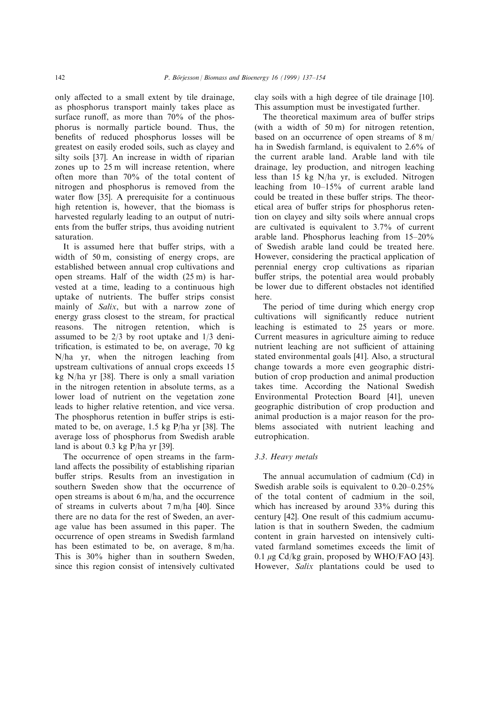only affected to a small extent by tile drainage, as phosphorus transport mainly takes place as surface runoff, as more than  $70\%$  of the phosphorus is normally particle bound. Thus, the benefits of reduced phosphorus losses will be greatest on easily eroded soils, such as clayey and silty soils [37]. An increase in width of riparian zones up to 25 m will increase retention, where often more than 70% of the total content of nitrogen and phosphorus is removed from the water flow  $[35]$ . A prerequisite for a continuous high retention is, however, that the biomass is harvested regularly leading to an output of nutrients from the buffer strips, thus avoiding nutrient saturation.

It is assumed here that buffer strips, with a width of 50 m, consisting of energy crops, are established between annual crop cultivations and open streams. Half of the width (25 m) is harvested at a time, leading to a continuous high uptake of nutrients. The buffer strips consist mainly of *Salix*, but with a narrow zone of energy grass closest to the stream, for practical reasons. The nitrogen retention, which is assumed to be 2/3 by root uptake and 1/3 denitrification, is estimated to be, on average,  $70 \text{ kg}$ N/ha yr, when the nitrogen leaching from upstream cultivations of annual crops exceeds 15 kg N/ha yr [38]. There is only a small variation in the nitrogen retention in absolute terms, as a lower load of nutrient on the vegetation zone leads to higher relative retention, and vice versa. The phosphorus retention in buffer strips is estimated to be, on average, 1.5 kg P/ha yr [38]. The average loss of phosphorus from Swedish arable land is about 0.3 kg P/ha yr [39].

The occurrence of open streams in the farmland affects the possibility of establishing riparian buffer strips. Results from an investigation in southern Sweden show that the occurrence of open streams is about 6 m/ha, and the occurrence of streams in culverts about 7 m/ha [40]. Since there are no data for the rest of Sweden, an average value has been assumed in this paper. The occurrence of open streams in Swedish farmland has been estimated to be, on average, 8 m/ha. This is 30% higher than in southern Sweden, since this region consist of intensively cultivated

clay soils with a high degree of tile drainage [10]. This assumption must be investigated further.

The theoretical maximum area of buffer strips (with a width of 50 m) for nitrogen retention, based on an occurrence of open streams of 8 m/ ha in Swedish farmland, is equivalent to 2.6% of the current arable land. Arable land with tile drainage, ley production, and nitrogen leaching less than 15 kg N/ha yr, is excluded. Nitrogen leaching from  $10-15%$  of current arable land could be treated in these buffer strips. The theoretical area of buffer strips for phosphorus retention on clayey and silty soils where annual crops are cultivated is equivalent to 3.7% of current arable land. Phosphorus leaching from  $15-20\%$ of Swedish arable land could be treated here. However, considering the practical application of perennial energy crop cultivations as riparian buffer strips, the potential area would probably be lower due to different obstacles not identified here.

The period of time during which energy crop cultivations will significantly reduce nutrient leaching is estimated to 25 years or more. Current measures in agriculture aiming to reduce nutrient leaching are not sufficient of attaining stated environmental goals [41]. Also, a structural change towards a more even geographic distribution of crop production and animal production takes time. According the National Swedish Environmental Protection Board [41], uneven geographic distribution of crop production and animal production is a major reason for the problems associated with nutrient leaching and eutrophication.

# 3.3. Heavy metals

The annual accumulation of cadmium (Cd) in Swedish arable soils is equivalent to  $0.20-0.25\%$ of the total content of cadmium in the soil, which has increased by around 33% during this century [42]. One result of this cadmium accumulation is that in southern Sweden, the cadmium content in grain harvested on intensively cultivated farmland sometimes exceeds the limit of 0.1  $\mu$ g Cd/kg grain, proposed by WHO/FAO [43]. However, *Salix* plantations could be used to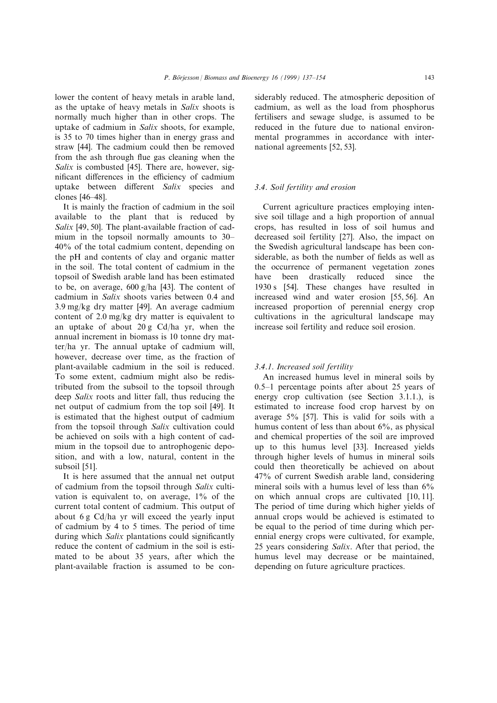lower the content of heavy metals in arable land, as the uptake of heavy metals in Salix shoots is normally much higher than in other crops. The uptake of cadmium in Salix shoots, for example, is 35 to 70 times higher than in energy grass and straw [44]. The cadmium could then be removed from the ash through flue gas cleaning when the Salix is combusted [45]. There are, however, significant differences in the efficiency of cadmium uptake between different Salix species and clones [46±48].

It is mainly the fraction of cadmium in the soil available to the plant that is reduced by Salix [49, 50]. The plant-available fraction of cadmium in the topsoil normally amounts to  $30-$ 40% of the total cadmium content, depending on the pH and contents of clay and organic matter in the soil. The total content of cadmium in the topsoil of Swedish arable land has been estimated to be, on average, 600 g/ha [43]. The content of cadmium in Salix shoots varies between 0.4 and 3.9 mg/kg dry matter [49]. An average cadmium content of 2.0 mg/kg dry matter is equivalent to an uptake of about 20 g Cd/ha yr, when the annual increment in biomass is 10 tonne dry matter/ha yr. The annual uptake of cadmium will, however, decrease over time, as the fraction of plant-available cadmium in the soil is reduced. To some extent, cadmium might also be redistributed from the subsoil to the topsoil through deep Salix roots and litter fall, thus reducing the net output of cadmium from the top soil [49]. It is estimated that the highest output of cadmium from the topsoil through Salix cultivation could be achieved on soils with a high content of cadmium in the topsoil due to antrophogenic deposition, and with a low, natural, content in the subsoil [51].

It is here assumed that the annual net output of cadmium from the topsoil through Salix cultivation is equivalent to, on average, 1% of the current total content of cadmium. This output of about 6 g Cd/ha yr will exceed the yearly input of cadmium by 4 to 5 times. The period of time during which  $Salix$  plantations could significantly reduce the content of cadmium in the soil is estimated to be about 35 years, after which the plant-available fraction is assumed to be considerably reduced. The atmospheric deposition of cadmium, as well as the load from phosphorus fertilisers and sewage sludge, is assumed to be reduced in the future due to national environmental programmes in accordance with international agreements [52, 53].

# 3.4. Soil fertility and erosion

Current agriculture practices employing intensive soil tillage and a high proportion of annual crops, has resulted in loss of soil humus and decreased soil fertility [27]. Also, the impact on the Swedish agricultural landscape has been considerable, as both the number of fields as well as the occurrence of permanent vegetation zones have been drastically reduced since the 1930 s [54]. These changes have resulted in increased wind and water erosion [55, 56]. An increased proportion of perennial energy crop cultivations in the agricultural landscape may increase soil fertility and reduce soil erosion.

#### 3.4.1. Increased soil fertility

An increased humus level in mineral soils by 0.5–1 percentage points after about 25 years of energy crop cultivation (see Section 3.1.1.), is estimated to increase food crop harvest by on average 5% [57]. This is valid for soils with a humus content of less than about 6%, as physical and chemical properties of the soil are improved up to this humus level [33]. Increased yields through higher levels of humus in mineral soils could then theoretically be achieved on about 47% of current Swedish arable land, considering mineral soils with a humus level of less than  $6\%$ on which annual crops are cultivated [10, 11]. The period of time during which higher yields of annual crops would be achieved is estimated to be equal to the period of time during which perennial energy crops were cultivated, for example, 25 years considering Salix. After that period, the humus level may decrease or be maintained, depending on future agriculture practices.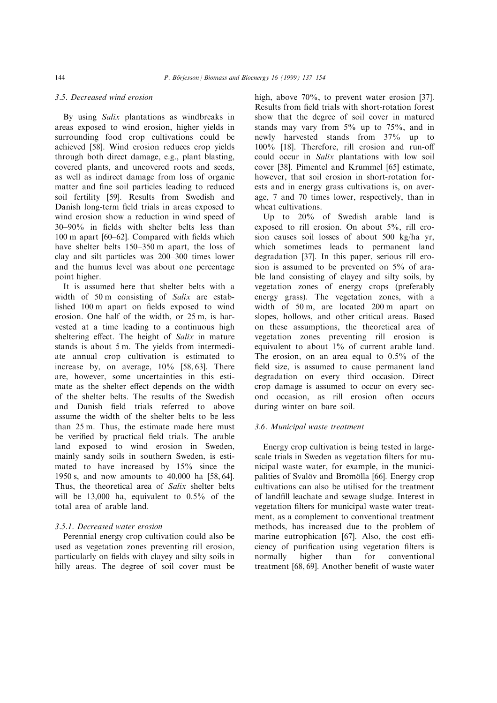# 3.5. Decreased wind erosion

By using Salix plantations as windbreaks in areas exposed to wind erosion, higher yields in surrounding food crop cultivations could be achieved [58]. Wind erosion reduces crop yields through both direct damage, e.g., plant blasting, covered plants, and uncovered roots and seeds, as well as indirect damage from loss of organic matter and fine soil particles leading to reduced soil fertility [59]. Results from Swedish and Danish long-term field trials in areas exposed to wind erosion show a reduction in wind speed of  $30-90\%$  in fields with shelter belts less than  $100 \text{ m}$  apart  $[60-62]$ . Compared with fields which have shelter belts 150–350 m apart, the loss of clay and silt particles was 200-300 times lower and the humus level was about one percentage point higher.

It is assumed here that shelter belts with a width of 50 m consisting of Salix are established 100 m apart on fields exposed to wind erosion. One half of the width, or 25 m, is harvested at a time leading to a continuous high sheltering effect. The height of  $Salix$  in mature stands is about 5 m. The yields from intermediate annual crop cultivation is estimated to increase by, on average, 10% [58, 63]. There are, however, some uncertainties in this estimate as the shelter effect depends on the width of the shelter belts. The results of the Swedish and Danish field trials referred to above assume the width of the shelter belts to be less than 25 m. Thus, the estimate made here must be verified by practical field trials. The arable land exposed to wind erosion in Sweden, mainly sandy soils in southern Sweden, is estimated to have increased by 15% since the 1950 s, and now amounts to 40,000 ha [58, 64]. Thus, the theoretical area of Salix shelter belts will be 13,000 ha, equivalent to 0.5% of the total area of arable land.

# 3.5.1. Decreased water erosion

Perennial energy crop cultivation could also be used as vegetation zones preventing rill erosion, particularly on fields with clayey and silty soils in hilly areas. The degree of soil cover must be high, above 70%, to prevent water erosion [37]. Results from field trials with short-rotation forest show that the degree of soil cover in matured stands may vary from  $5\%$  up to  $75\%$ , and in newly harvested stands from 37% up to 100% [18]. Therefore, rill erosion and run-o could occur in Salix plantations with low soil cover [38]. Pimentel and Krummel [65] estimate, however, that soil erosion in short-rotation forests and in energy grass cultivations is, on average, 7 and 70 times lower, respectively, than in wheat cultivations.

Up to 20% of Swedish arable land is exposed to rill erosion. On about 5%, rill erosion causes soil losses of about 500 kg/ha yr, which sometimes leads to permanent land degradation [37]. In this paper, serious rill erosion is assumed to be prevented on 5% of arable land consisting of clayey and silty soils, by vegetation zones of energy crops (preferably energy grass). The vegetation zones, with a width of 50 m, are located 200 m apart on slopes, hollows, and other critical areas. Based on these assumptions, the theoretical area of vegetation zones preventing rill erosion is equivalent to about 1% of current arable land. The erosion, on an area equal to 0.5% of the field size, is assumed to cause permanent land degradation on every third occasion. Direct crop damage is assumed to occur on every second occasion, as rill erosion often occurs during winter on bare soil.

#### 3.6. Municipal waste treatment

Energy crop cultivation is being tested in largescale trials in Sweden as vegetation filters for municipal waste water, for example, in the municipalities of Svalov and Bromolla [66]. Energy crop cultivations can also be utilised for the treatment of landfill leachate and sewage sludge. Interest in vegetation filters for municipal waste water treatment, as a complement to conventional treatment methods, has increased due to the problem of marine eutrophication  $[67]$ . Also, the cost efficiency of purification using vegetation filters is normally higher than for conventional treatment [68, 69]. Another benefit of waste water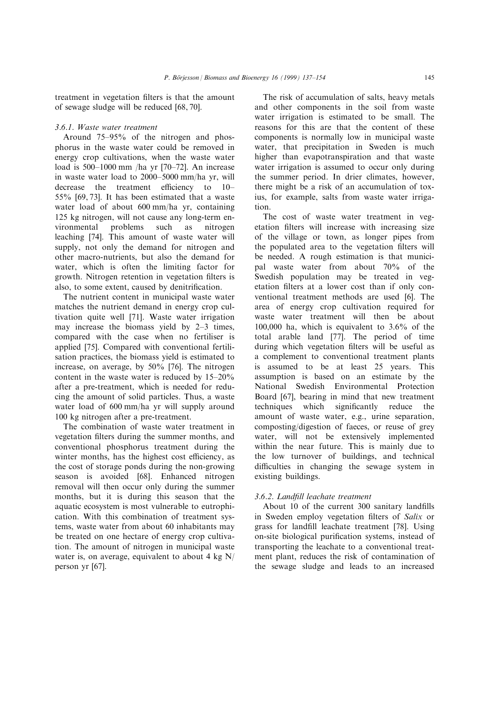treatment in vegetation filters is that the amount of sewage sludge will be reduced [68, 70].

#### 3.6.1. Waste water treatment

Around  $75-95\%$  of the nitrogen and phosphorus in the waste water could be removed in energy crop cultivations, when the waste water load is  $500-1000$  mm /ha yr  $[70-72]$ . An increase in waste water load to 2000-5000 mm/ha yr, will decrease the treatment efficiency to  $10-$ 55% [69, 73]. It has been estimated that a waste water load of about 600 mm/ha yr, containing 125 kg nitrogen, will not cause any long-term environmental problems such as nitrogen leaching [74]. This amount of waste water will supply, not only the demand for nitrogen and other macro-nutrients, but also the demand for water, which is often the limiting factor for growth. Nitrogen retention in vegetation filters is also, to some extent, caused by denitrification.

The nutrient content in municipal waste water matches the nutrient demand in energy crop cultivation quite well [71]. Waste water irrigation may increase the biomass yield by  $2-3$  times, compared with the case when no fertiliser is applied [75]. Compared with conventional fertilisation practices, the biomass yield is estimated to increase, on average, by 50% [76]. The nitrogen content in the waste water is reduced by  $15-20\%$ after a pre-treatment, which is needed for reducing the amount of solid particles. Thus, a waste water load of 600 mm/ha yr will supply around 100 kg nitrogen after a pre-treatment.

The combination of waste water treatment in vegetation filters during the summer months, and conventional phosphorus treatment during the winter months, has the highest cost efficiency, as the cost of storage ponds during the non-growing season is avoided [68]. Enhanced nitrogen removal will then occur only during the summer months, but it is during this season that the aquatic ecosystem is most vulnerable to eutrophication. With this combination of treatment systems, waste water from about 60 inhabitants may be treated on one hectare of energy crop cultivation. The amount of nitrogen in municipal waste water is, on average, equivalent to about 4 kg N/ person yr [67].

The risk of accumulation of salts, heavy metals and other components in the soil from waste water irrigation is estimated to be small. The reasons for this are that the content of these components is normally low in municipal waste water, that precipitation in Sweden is much higher than evapotranspiration and that waste water irrigation is assumed to occur only during the summer period. In drier climates, however, there might be a risk of an accumulation of toxius, for example, salts from waste water irrigation.

The cost of waste water treatment in vegetation filters will increase with increasing size of the village or town, as longer pipes from the populated area to the vegetation filters will be needed. A rough estimation is that municipal waste water from about 70% of the Swedish population may be treated in vegetation filters at a lower cost than if only conventional treatment methods are used [6]. The area of energy crop cultivation required for waste water treatment will then be about 100,000 ha, which is equivalent to 3.6% of the total arable land [77]. The period of time during which vegetation filters will be useful as a complement to conventional treatment plants is assumed to be at least 25 years. This assumption is based on an estimate by the National Swedish Environmental Protection Board [67], bearing in mind that new treatment techniques which significantly reduce the amount of waste water, e.g., urine separation, composting/digestion of faeces, or reuse of grey water, will not be extensively implemented within the near future. This is mainly due to the low turnover of buildings, and technical difficulties in changing the sewage system in existing buildings.

# 3.6.2. Landfill leachate treatment

About 10 of the current 300 sanitary landfills in Sweden employ vegetation filters of Salix or grass for landfill leachate treatment [78]. Using on-site biological purification systems, instead of transporting the leachate to a conventional treatment plant, reduces the risk of contamination of the sewage sludge and leads to an increased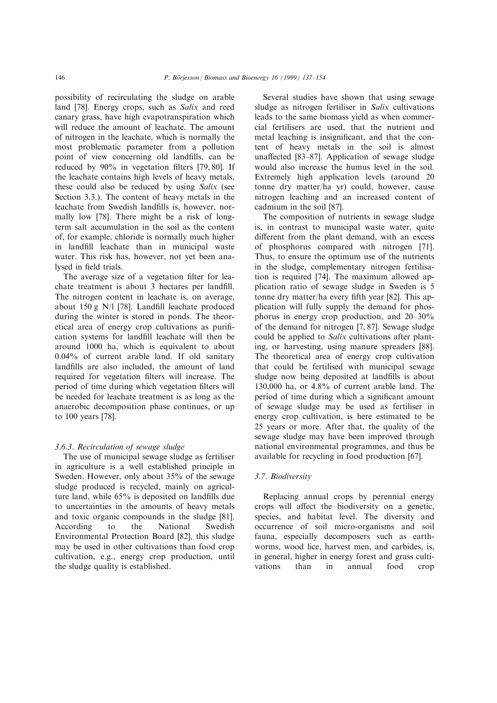possibility of recirculating the sludge on arable land [78]. Energy crops, such as Salix and reed canary grass, have high evapotranspiration which will reduce the amount of leachate. The amount of nitrogen in the leachate, which is normally the most problematic parameter from a pollution point of view concerning old landfills, can be reduced by  $90\%$  in vegetation filters [79, 80]. If the leachate contains high levels of heavy metals, these could also be reduced by using Salix (see Section 3.3.). The content of heavy metals in the leachate from Swedish landfills is, however, normally low [78]. There might be a risk of longterm salt accumulation in the soil as the content of, for example, chloride is normally much higher in landfill leachate than in municipal waste water. This risk has, however, not yet been analysed in field trials.

The average size of a vegetation filter for leachate treatment is about 3 hectares per landfill. The nitrogen content in leachate is, on average, about  $150 \text{ g}$  N/l [78]. Landfill leachate produced during the winter is stored in ponds. The theoretical area of energy crop cultivations as purification systems for landfill leachate will then be around 1000 ha, which is equivalent to about 0.04% of current arable land. If old sanitary landfills are also included, the amount of land required for vegetation filters will increase. The period of time during which vegetation filters will be needed for leachate treatment is as long as the anaerobic decomposition phase continues, or up to 100 years [78].

#### 3.6.3. Recirculation of sewage sludge

The use of municipal sewage sludge as fertiliser in agriculture is a well established principle in Sweden. However, only about 35% of the sewage sludge produced is recycled, mainly on agriculture land, while 65% is deposited on landfills due to uncertainties in the amounts of heavy metals and toxic organic compounds in the sludge [81]. According to the National Swedish Environmental Protection Board [82], this sludge may be used in other cultivations than food crop cultivation, e.g., energy crop production, until the sludge quality is established.

Several studies have shown that using sewage sludge as nitrogen fertiliser in Salix cultivations leads to the same biomass yield as when commercial fertilisers are used, that the nutrient and metal leaching is insignificant, and that the content of heavy metals in the soil is almost unaffected  $[83-87]$ . Application of sewage sludge would also increase the humus level in the soil. Extremely high application levels (around 20 tonne dry matter/ha yr) could, however, cause nitrogen leaching and an increased content of cadmium in the soil [87].

The composition of nutrients in sewage sludge is, in contrast to municipal waste water, quite different from the plant demand, with an excess of phosphorus compared with nitrogen [71]. Thus, to ensure the optimum use of the nutrients in the sludge, complementary nitrogen fertilisation is required [74]. The maximum allowed application ratio of sewage sludge in Sweden is 5 tonne dry matter/ha every fifth year [82]. This application will fully supply the demand for phosphorus in energy crop production, and  $20-30\%$ of the demand for nitrogen [7, 87]. Sewage sludge could be applied to Salix cultivations after planting, or harvesting, using manure spreaders [88]. The theoretical area of energy crop cultivation that could be fertilised with municipal sewage sludge now being deposited at landfills is about 130,000 ha, or 4.8% of current arable land. The period of time during which a significant amount of sewage sludge may be used as fertiliser in energy crop cultivation, is here estimated to be 25 years or more. After that, the quality of the sewage sludge may have been improved through national environmental programmes, and thus be available for recycling in food production [67].

#### 3.7. Biodiversity

Replacing annual crops by perennial energy crops will affect the biodiversity on a genetic, species, and habitat level. The diversity and occurrence of soil micro-organisms and soil fauna, especially decomposers such as earthworms, wood lice, harvest men, and carbides, is, in general, higher in energy forest and grass cultivations than in annual food crop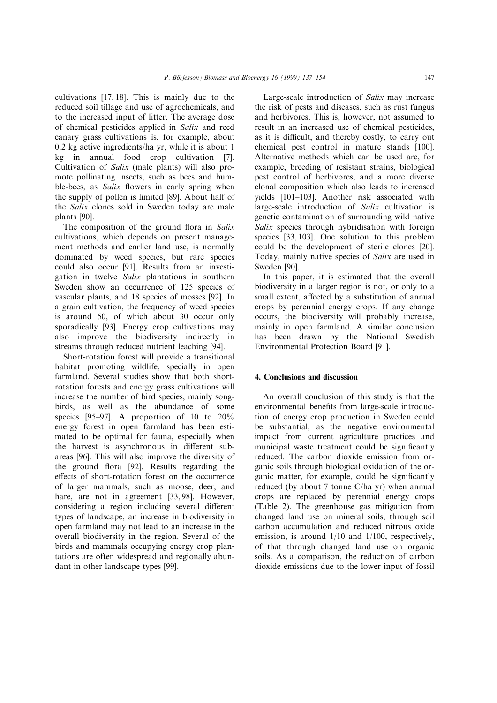cultivations [17, 18]. This is mainly due to the reduced soil tillage and use of agrochemicals, and to the increased input of litter. The average dose of chemical pesticides applied in Salix and reed canary grass cultivations is, for example, about 0.2 kg active ingredients/ha yr, while it is about 1 kg in annual food crop cultivation [7]. Cultivation of Salix (male plants) will also promote pollinating insects, such as bees and bumble-bees, as *Salix* flowers in early spring when the supply of pollen is limited [89]. About half of the Salix clones sold in Sweden today are male plants [90].

The composition of the ground flora in  $Salix$ cultivations, which depends on present management methods and earlier land use, is normally dominated by weed species, but rare species could also occur [91]. Results from an investigation in twelve Salix plantations in southern Sweden show an occurrence of 125 species of vascular plants, and 18 species of mosses [92]. In a grain cultivation, the frequency of weed species is around 50, of which about 30 occur only sporadically [93]. Energy crop cultivations may also improve the biodiversity indirectly in streams through reduced nutrient leaching [94].

Short-rotation forest will provide a transitional habitat promoting wildlife, specially in open farmland. Several studies show that both shortrotation forests and energy grass cultivations will increase the number of bird species, mainly songbirds, as well as the abundance of some species [95-97]. A proportion of 10 to  $20\%$ energy forest in open farmland has been estimated to be optimal for fauna, especially when the harvest is asynchronous in different subareas [96]. This will also improve the diversity of the ground flora [92]. Results regarding the effects of short-rotation forest on the occurrence of larger mammals, such as moose, deer, and hare, are not in agreement [33, 98]. However, considering a region including several different types of landscape, an increase in biodiversity in open farmland may not lead to an increase in the overall biodiversity in the region. Several of the birds and mammals occupying energy crop plantations are often widespread and regionally abundant in other landscape types [99].

Large-scale introduction of Salix may increase the risk of pests and diseases, such as rust fungus and herbivores. This is, however, not assumed to result in an increased use of chemical pesticides, as it is difficult, and thereby costly, to carry out chemical pest control in mature stands [100]. Alternative methods which can be used are, for example, breeding of resistant strains, biological pest control of herbivores, and a more diverse clonal composition which also leads to increased yields [101-103]. Another risk associated with large-scale introduction of Salix cultivation is genetic contamination of surrounding wild native Salix species through hybridisation with foreign species [33, 103]. One solution to this problem could be the development of sterile clones [20]. Today, mainly native species of Salix are used in Sweden [90].

In this paper, it is estimated that the overall biodiversity in a larger region is not, or only to a small extent, affected by a substitution of annual crops by perennial energy crops. If any change occurs, the biodiversity will probably increase, mainly in open farmland. A similar conclusion has been drawn by the National Swedish Environmental Protection Board [91].

#### 4. Conclusions and discussion

An overall conclusion of this study is that the environmental benefits from large-scale introduction of energy crop production in Sweden could be substantial, as the negative environmental impact from current agriculture practices and municipal waste treatment could be significantly reduced. The carbon dioxide emission from organic soils through biological oxidation of the organic matter, for example, could be significantly reduced (by about 7 tonne C/ha yr) when annual crops are replaced by perennial energy crops (Table 2). The greenhouse gas mitigation from changed land use on mineral soils, through soil carbon accumulation and reduced nitrous oxide emission, is around 1/10 and 1/100, respectively, of that through changed land use on organic soils. As a comparison, the reduction of carbon dioxide emissions due to the lower input of fossil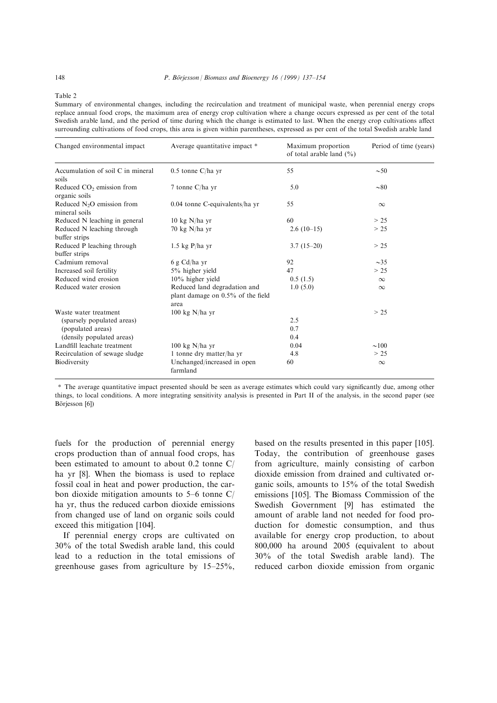Table 2

Summary of environmental changes, including the recirculation and treatment of municipal waste, when perennial energy crops replace annual food crops, the maximum area of energy crop cultivation where a change occurs expressed as per cent of the total Swedish arable land, and the period of time during which the change is estimated to last. When the energy crop cultivations affect surrounding cultivations of food crops, this area is given within parentheses, expressed as per cent of the total Swedish arable land

| Changed environmental impact                        | Average quantitative impact *                                             | Maximum proportion<br>of total arable land $(\% )$ | Period of time (years) |
|-----------------------------------------------------|---------------------------------------------------------------------------|----------------------------------------------------|------------------------|
| Accumulation of soil C in mineral<br>soils          | $0.5$ tonne C/ha yr                                                       | 55                                                 | $\sim 50$              |
| Reduced $CO2$ emission from<br>organic soils        | 7 tonne C/ha yr                                                           | 5.0                                                | $\sim 80$              |
| Reduced $N2O$ emission from<br>mineral soils        | 0.04 tonne C-equivalents/ha yr                                            | 55                                                 | $\infty$               |
| Reduced N leaching in general                       | $10 \text{ kg}$ N/ha yr                                                   | 60                                                 | > 25                   |
| Reduced N leaching through<br>buffer strips         | $70 \text{ kg}$ N/ha yr                                                   | $2.6(10-15)$                                       | > 25                   |
| Reduced P leaching through<br>buffer strips         | $1.5$ kg P/ha yr                                                          | $3.7(15-20)$                                       | > 25                   |
| Cadmium removal                                     | 6 g Cd/ha yr                                                              | 92                                                 | $\sim$ 35              |
| Increased soil fertility                            | $5\%$ higher yield                                                        | 47                                                 | > 25                   |
| Reduced wind erosion                                | $10\%$ higher yield                                                       | 0.5(1.5)                                           | $\infty$               |
| Reduced water erosion                               | Reduced land degradation and<br>plant damage on 0.5% of the field<br>area | 1.0(5.0)                                           | $\infty$               |
| Waste water treatment<br>(sparsely populated areas) | $100 \text{ kg}$ N/ha yr                                                  | 2.5                                                | > 25                   |
| (populated areas)<br>(densily populated areas)      |                                                                           | 0.7<br>0.4                                         |                        |
| Landfill leachate treatment                         | $100 \text{ kg}$ N/ha yr                                                  | 0.04                                               | $\sim 100$             |
| Recirculation of sewage sludge                      | 1 tonne dry matter/ha yr                                                  | 4.8                                                | > 25                   |
| Biodiversity                                        | Unchanged/increased in open<br>farmland                                   | 60                                                 | $\infty$               |

\* The average quantitative impact presented should be seen as average estimates which could vary significantly due, among other things, to local conditions. A more integrating sensitivity analysis is presented in Part II of the analysis, in the second paper (see Börjesson [6])

fuels for the production of perennial energy crops production than of annual food crops, has been estimated to amount to about 0.2 tonne C/ ha yr [8]. When the biomass is used to replace fossil coal in heat and power production, the carbon dioxide mitigation amounts to  $5-6$  tonne C/ ha yr, thus the reduced carbon dioxide emissions from changed use of land on organic soils could exceed this mitigation [104].

If perennial energy crops are cultivated on 30% of the total Swedish arable land, this could lead to a reduction in the total emissions of greenhouse gases from agriculture by  $15-25\%$ ,

based on the results presented in this paper [105]. Today, the contribution of greenhouse gases from agriculture, mainly consisting of carbon dioxide emission from drained and cultivated organic soils, amounts to 15% of the total Swedish emissions [105]. The Biomass Commission of the Swedish Government [9] has estimated the amount of arable land not needed for food production for domestic consumption, and thus available for energy crop production, to about 800,000 ha around 2005 (equivalent to about 30% of the total Swedish arable land). The reduced carbon dioxide emission from organic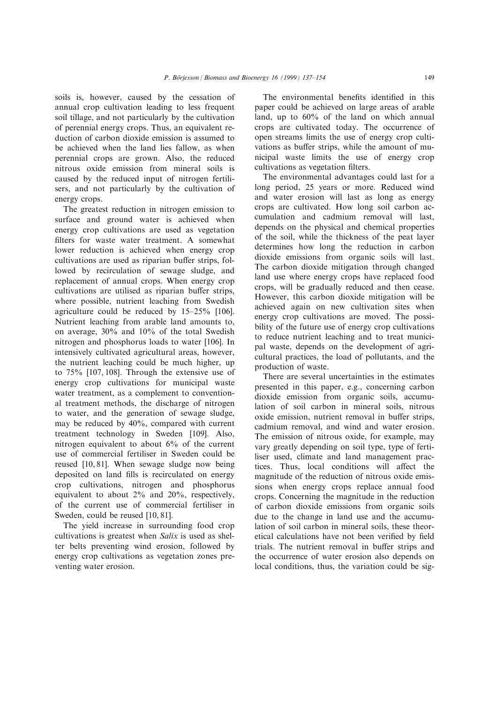soils is, however, caused by the cessation of annual crop cultivation leading to less frequent soil tillage, and not particularly by the cultivation of perennial energy crops. Thus, an equivalent reduction of carbon dioxide emission is assumed to be achieved when the land lies fallow, as when perennial crops are grown. Also, the reduced nitrous oxide emission from mineral soils is caused by the reduced input of nitrogen fertilisers, and not particularly by the cultivation of energy crops.

The greatest reduction in nitrogen emission to surface and ground water is achieved when energy crop cultivations are used as vegetation filters for waste water treatment. A somewhat lower reduction is achieved when energy crop cultivations are used as riparian buffer strips, followed by recirculation of sewage sludge, and replacement of annual crops. When energy crop cultivations are utilised as riparian buffer strips, where possible, nutrient leaching from Swedish agriculture could be reduced by  $15-25\%$  [106]. Nutrient leaching from arable land amounts to, on average, 30% and 10% of the total Swedish nitrogen and phosphorus loads to water [106]. In intensively cultivated agricultural areas, however, the nutrient leaching could be much higher, up to 75% [107, 108]. Through the extensive use of energy crop cultivations for municipal waste water treatment, as a complement to conventional treatment methods, the discharge of nitrogen to water, and the generation of sewage sludge, may be reduced by 40%, compared with current treatment technology in Sweden [109]. Also, nitrogen equivalent to about 6% of the current use of commercial fertiliser in Sweden could be reused [10, 81]. When sewage sludge now being deposited on land fills is recirculated on energy crop cultivations, nitrogen and phosphorus equivalent to about 2% and 20%, respectively, of the current use of commercial fertiliser in Sweden, could be reused [10, 81].

The yield increase in surrounding food crop cultivations is greatest when Salix is used as shelter belts preventing wind erosion, followed by energy crop cultivations as vegetation zones preventing water erosion.

The environmental benefits identified in this paper could be achieved on large areas of arable land, up to 60% of the land on which annual crops are cultivated today. The occurrence of open streams limits the use of energy crop cultivations as buffer strips, while the amount of municipal waste limits the use of energy crop cultivations as vegetation filters.

The environmental advantages could last for a long period, 25 years or more. Reduced wind and water erosion will last as long as energy crops are cultivated. How long soil carbon accumulation and cadmium removal will last, depends on the physical and chemical properties of the soil, while the thickness of the peat layer determines how long the reduction in carbon dioxide emissions from organic soils will last. The carbon dioxide mitigation through changed land use where energy crops have replaced food crops, will be gradually reduced and then cease. However, this carbon dioxide mitigation will be achieved again on new cultivation sites when energy crop cultivations are moved. The possibility of the future use of energy crop cultivations to reduce nutrient leaching and to treat municipal waste, depends on the development of agricultural practices, the load of pollutants, and the production of waste.

There are several uncertainties in the estimates presented in this paper, e.g., concerning carbon dioxide emission from organic soils, accumulation of soil carbon in mineral soils, nitrous oxide emission, nutrient removal in buffer strips, cadmium removal, and wind and water erosion. The emission of nitrous oxide, for example, may vary greatly depending on soil type, type of fertiliser used, climate and land management practices. Thus, local conditions will affect the magnitude of the reduction of nitrous oxide emissions when energy crops replace annual food crops. Concerning the magnitude in the reduction of carbon dioxide emissions from organic soils due to the change in land use and the accumulation of soil carbon in mineral soils, these theoretical calculations have not been verified by field trials. The nutrient removal in buffer strips and the occurrence of water erosion also depends on local conditions, thus, the variation could be sig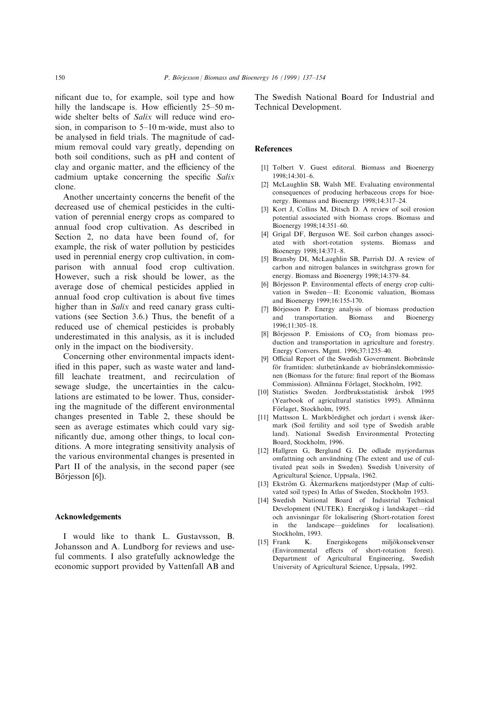nificant due to, for example, soil type and how hilly the landscape is. How efficiently  $25-50$  mwide shelter belts of *Salix* will reduce wind erosion, in comparison to  $5-10$  m-wide, must also to be analysed in field trials. The magnitude of cadmium removal could vary greatly, depending on both soil conditions, such as pH and content of clay and organic matter, and the efficiency of the cadmium uptake concerning the specific Salix clone.

Another uncertainty concerns the benefit of the decreased use of chemical pesticides in the cultivation of perennial energy crops as compared to annual food crop cultivation. As described in Section 2, no data have been found of, for example, the risk of water pollution by pesticides used in perennial energy crop cultivation, in comparison with annual food crop cultivation. However, such a risk should be lower, as the average dose of chemical pesticides applied in annual food crop cultivation is about five times higher than in Salix and reed canary grass cultivations (see Section  $3.6$ .) Thus, the benefit of a reduced use of chemical pesticides is probably underestimated in this analysis, as it is included only in the impact on the biodiversity.

Concerning other environmental impacts identified in this paper, such as waste water and landfill leachate treatment, and recirculation of sewage sludge, the uncertainties in the calculations are estimated to be lower. Thus, considering the magnitude of the different environmental changes presented in Table 2, these should be seen as average estimates which could vary significantly due, among other things, to local conditions. A more integrating sensitivity analysis of the various environmental changes is presented in Part II of the analysis, in the second paper (see Börjesson [6]).

#### Acknowledgements

I would like to thank L. Gustavsson, B. Johansson and A. Lundborg for reviews and useful comments. I also gratefully acknowledge the economic support provided by Vattenfall AB and The Swedish National Board for Industrial and Technical Development.

#### **References**

- [1] Tolbert V. Guest editoral. Biomass and Bioenergy 1998;14:301-6.
- [2] McLaughlin SB, Walsh ME. Evaluating environmental consequences of producing herbaceous crops for bioenergy. Biomass and Bioenergy 1998;14:317-24.
- [3] Kort J, Collins M, Ditsch D. A review of soil erosion potential associated with biomass crops. Biomass and Bioenergy 1998;14:351-60.
- [4] Grigal DF, Berguson WE. Soil carbon changes associated with short-rotation systems. Biomass and Bioenergy 1998;14:371-8.
- [5] Bransby DI, McLaughlin SB, Parrish DJ. A review of carbon and nitrogen balances in switchgrass grown for energy. Biomass and Bioenergy 1998;14:379-84.
- [6] Börjesson P. Environmental effects of energy crop cultivation in Sweden-II: Economic valuation, Biomass and Bioenergy 1999;16:155-170.
- [7] Börjesson P. Energy analysis of biomass production and transportation. Biomass and Bioenergy 1996;11:305±18.
- [8] Börjesson P. Emissions of  $CO<sub>2</sub>$  from biomass production and transportation in agriculture and forestry. Energy Convers. Mgmt. 1996;37:1235-40.
- [9] Official Report of the Swedish Government. Biobränsle för framtiden: slutbetänkande av biobränslekommissionen (Biomass for the future: final report of the Biomass Commission). Allmänna Förlaget, Stockholm, 1992.
- [10] Statistics Sweden. Jordbruksstatistisk årsbok 1995 (Yearbook of agricultural statistics 1995). Allmänna Förlaget, Stockholm, 1995.
- [11] Mattsson L. Markbördighet och jordart i svensk åkermark (Soil fertility and soil type of Swedish arable land). National Swedish Environmental Protecting Board, Stockholm, 1996.
- [12] Hallgren G, Berglund G. De odlade myrjordarnas omfattning och användning (The extent and use of cultivated peat soils in Sweden). Swedish University of Agricultural Science, Uppsala, 1962.
- [13] Ekström G. Åkermarkens matjordstyper (Map of cultivated soil types) In Atlas of Sweden, Stockholm 1953.
- [14] Swedish National Board of Industrial Technical Development (NUTEK). Energiskog i landskapet—råd och anvisningar för lokalisering (Short-rotation forest in the landscape—guidelines for localisation). Stockholm, 1993.
- [15] Frank K. Energiskogens miljökonsekvenser (Environmental effects of short-rotation forest). Department of Agricultural Engineering, Swedish University of Agricultural Science, Uppsala, 1992.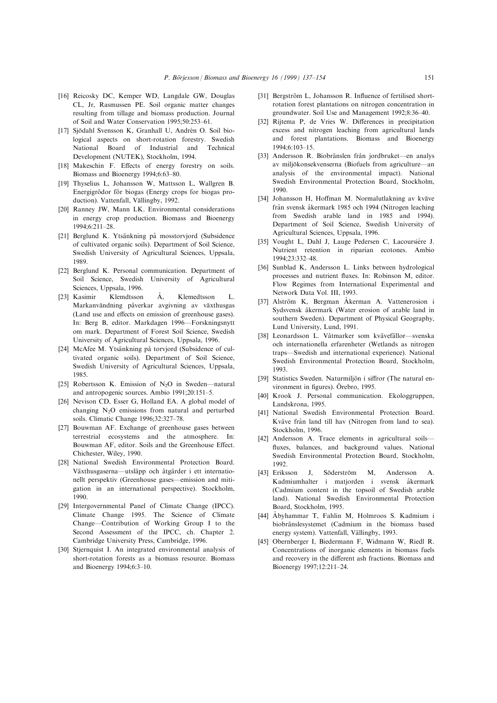- [16] Reicosky DC, Kemper WD, Langdale GW, Douglas CL, Jr, Rasmussen PE. Soil organic matter changes resulting from tillage and biomass production. Journal of Soil and Water Conservation 1995;50:253-61.
- [17] Sjödahl Svensson K, Granhall U, Andrén O. Soil biological aspects on short-rotation forestry. Swedish National Board of Industrial and Technical Development (NUTEK), Stockholm, 1994.
- [18] Makeschin F. Effects of energy forestry on soils. Biomass and Bioenergy 1994;6:63-80.
- [19] Thyselius L, Johansson W, Mattsson L, Wallgren B. Energigrödor för biogas (Energy crops for biogas production). Vattenfall, Vällingby, 1992.
- [20] Ranney JW, Mann LK. Environmental considerations in energy crop production. Biomass and Bioenergy 1994;6:211-28.
- [21] Berglund K. Ytsänkning på mosstorvjord (Subsidence of cultivated organic soils). Department of Soil Science, Swedish University of Agricultural Sciences, Uppsala, 1989.
- [22] Berglund K. Personal communication. Department of Soil Science, Swedish University of Agricultural Sciences, Uppsala, 1996.
- [23] Kasimir Klemdtsson  $\AA$ , Klemedtsson L. Markanvändning påverkar avgivning av växthusgas (Land use and effects on emission of greenhouse gases). In: Berg B, editor. Markdagen 1996–Forskningsnytt om mark. Department of Forest Soil Science, Swedish University of Agricultural Sciences, Uppsala, 1996.
- [24] McAfee M. Ytsänkning på torvjord (Subsidence of cultivated organic soils). Department of Soil Science, Swedish University of Agricultural Sciences, Uppsala, 1985.
- [25] Robertsson K. Emission of  $N_2O$  in Sweden—natural and antropogenic sources. Ambio 1991;20:151-5.
- [26] Nevison CD, Esser G, Holland EA. A global model of changing  $N_2O$  emissions from natural and perturbed soils. Climatic Change 1996;32:327-78.
- [27] Bouwman AF. Exchange of greenhouse gases between terrestrial ecosystems and the atmosphere. In: Bouwman AF, editor. Soils and the Greenhouse Effect. Chichester, Wiley, 1990.
- [28] National Swedish Environmental Protection Board. Växthusgaserna—utsläpp och åtgärder i ett internationellt perspektiv (Greenhouse gases—emission and mitigation in an international perspective). Stockholm, 1990.
- [29] Intergovernmental Panel of Climate Change (IPCC). Climate Change 1995. The Science of Climate Change–Contribution of Working Group I to the Second Assessment of the IPCC, ch. Chapter 2. Cambridge University Press, Cambridge, 1996.
- [30] Stjernquist I. An integrated environmental analysis of short-rotation forests as a biomass resource. Biomass and Bioenergy  $1994;6:3–10$ .
- [31] Bergström L, Johansson R. Influence of fertilised shortrotation forest plantations on nitrogen concentration in groundwater. Soil Use and Management 1992;8:36-40.
- [32] Rijtema P, de Vries W. Differences in precipitation excess and nitrogen leaching from agricultural lands and forest plantations. Biomass and Bioenergy 1994;6:103±15.
- [33] Andersson R. Biobränslen från jordbruket—en analys av miljökonsekvenserna (Biofuels from agriculture—an analysis of the environmental impact). National Swedish Environmental Protection Board, Stockholm, 1990.
- [34] Johansson H, Hoffman M. Normalutlakning av kväve från svensk åkermark 1985 och 1994 (Nitrogen leaching from Swedish arable land in 1985 and 1994). Department of Soil Science, Swedish University of Agricultural Sciences, Uppsala, 1996.
- [35] Vought L, Dahl J, Lauge Pedersen C, Lacoursiére J. Nutrient retention in riparian ecotones. Ambio  $1994.23.332 - 48$
- [36] Sunblad K, Andersson L. Links between hydrological processes and nutrient fluxes. In: Robinson M, editor. Flow Regimes from International Experimental and Network Data Vol. III, 1993.
- [37] Alström K, Bergman Åkerman A. Vattenerosion i Sydsvensk åkermark (Water erosion of arable land in southern Sweden). Department of Physical Geography, Lund University, Lund, 1991.
- [38] Leonardsson L. Våtmarker som kvävefällor—svenska och internationella erfarenheter (Wetlands as nitrogen traps—Swedish and international experience). National Swedish Environmental Protection Board, Stockholm, 1993.
- [39] Statistics Sweden. Naturmiljön i siffror (The natural environment in figures). Örebro, 1995.
- [40] Krook J. Personal communication. Ekologgruppen, Landskrona, 1995.
- [41] National Swedish Environmental Protection Board. Kväve från land till hav (Nitrogen from land to sea). Stockholm, 1996.
- [42] Andersson A. Trace elements in agricultural soilsfluxes, balances, and background values. National Swedish Environmental Protection Board, Stockholm, 1992.
- [43] Eriksson J, Söderström M, Andersson A. Kadmiumhalter i matjorden i svensk åkermark (Cadmium content in the topsoil of Swedish arable land). National Swedish Environmental Protection Board, Stockholm, 1995.
- [44] AÊ byhammar T, Fahlin M, Holmroos S. Kadmium i biobränslesystemet (Cadmium in the biomass based energy system). Vattenfall, Vällingby, 1993.
- [45] Obernberger I, Biedermann F, Widmann W, Riedl R. Concentrations of inorganic elements in biomass fuels and recovery in the different ash fractions. Biomass and Bioenergy 1997;12:211-24.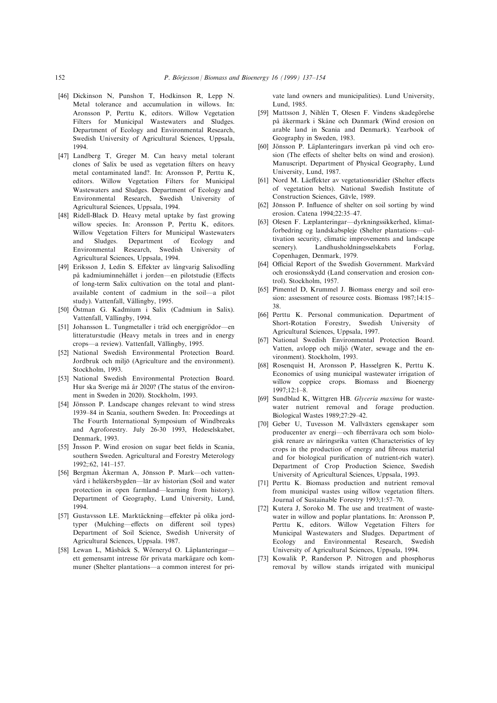- [46] Dickinson N, Punshon T, Hodkinson R, Lepp N. Metal tolerance and accumulation in willows. In: Aronsson P, Perttu K, editors. Willow Vegetation Filters for Municipal Wastewaters and Sludges. Department of Ecology and Environmental Research, Swedish University of Agricultural Sciences, Uppsala, 1994.
- [47] Landberg T, Greger M. Can heavy metal tolerant clones of Salix be used as vegetation filters on heavy metal contaminated land?. In: Aronsson P, Perttu K, editors. Willow Vegetation Filters for Municipal Wastewaters and Sludges. Department of Ecology and Environmental Research, Swedish University of Agricultural Sciences, Uppsala, 1994.
- [48] Ridell-Black D. Heavy metal uptake by fast growing willow species. In: Aronsson P, Perttu K, editors. Willow Vegetation Filters for Municipal Wastewaters and Sludges. Department of Ecology and Environmental Research, Swedish University of Agricultural Sciences, Uppsala, 1994.
- [49] Eriksson J, Ledin S. Effekter av långvarig Salixodling på kadmiuminnehållet i jorden—en pilotstudie (Effects of long-term Salix cultivation on the total and plantavailable content of cadmium in the soil—a pilot study). Vattenfall, Vällingby, 1995.
- [50] OÈstman G. Kadmium i Salix (Cadmium in Salix). Vattenfall, Vällingby, 1994.
- [51] Johansson L. Tungmetaller i träd och energigrödor-en litteraturstudie (Heavy metals in trees and in energy crops-a review). Vattenfall, Vällingby, 1995.
- [52] National Swedish Environmental Protection Board. Jordbruk och miljö (Agriculture and the environment). Stockholm, 1993.
- [53] National Swedish Environmental Protection Board. Hur ska Sverige må år 2020? (The status of the environment in Sweden in 2020). Stockholm, 1993.
- [54] Jönsson P. Landscape changes relevant to wind stress 1939-84 in Scania, southern Sweden. In: Proceedings at The Fourth International Symposium of Windbreaks and Agroforestry. July 26-30 1993, Hedeselskabet, Denmark, 1993.
- [55] Jnsson P. Wind erosion on sugar beet fields in Scania, southern Sweden. Agricultural and Forestry Meterology 1992;:62, 141-157.
- [56] Bergman Åkerman A, Jönsson P. Mark—och vattenvård i helåkersbygden—lär av historian (Soil and water protection in open farmland—learning from history). Department of Geography, Lund University, Lund, 1994.
- [57] Gustavsson LE. Marktäckning-effekter på olika jordtyper (Mulching—effects on different soil types) Department of Soil Science, Swedish University of Agricultural Sciences, Uppsala. 1987.
- [58] Lewan L, Måsbäck S, Wörneryd O. Läplanteringarett gemensamt intresse för privata markägare och kommuner (Shelter plantations—a common interest for pri-

vate land owners and municipalities). Lund University, Lund, 1985.

- [59] Mattsson J, Nihlén T, Olesen F. Vindens skadegörelse på åkermark i Skåne och Danmark (Wind erosion on arable land in Scania and Denmark). Yearbook of Geography in Sweden, 1983.
- [60] Jönsson P. Läplanteringars inverkan på vind och erosion (The effects of shelter belts on wind and erosion). Manuscript. Department of Physical Geography, Lund University, Lund, 1987.
- [61] Nord M. Läeffekter av vegetationsridåer (Shelter effects of vegetation belts). National Swedish Institute of Construction Sciences, Gävle, 1989.
- [62] Jönsson P. Influence of shelter on soil sorting by wind erosion. Catena 1994;22:35-47.
- [63] Olesen F. Læplanteringar-dyrkningssikkerhed, klimatforbedring og landskabspleje (Shelter plantations-cultivation security, climatic improvements and landscape scenery). Landhusholdningsselskabets Forlag, Copenhagen, Denmark, 1979.
- [64] Official Report of the Swedish Government. Markvård och erosionsskydd (Land conservation and erosion control). Stockholm, 1957.
- [65] Pimentel D, Krummel J. Biomass energy and soil erosion: assessment of resource costs. Biomass 1987;14:15-38.
- [66] Perttu K. Personal communication. Department of Short-Rotation Forestry, Swedish University of Agricultural Sciences, Uppsala, 1997.
- [67] National Swedish Environmental Protection Board. Vatten, avlopp och miljö (Water, sewage and the environment). Stockholm, 1993.
- [68] Rosenquist H, Aronsson P, Hasselgren K, Perttu K. Economics of using municipal wastewater irrigation of willow coppice crops. Biomass and Bioenergy  $1997 \cdot 12 \cdot 1 - 8$ .
- [69] Sundblad K, Wittgren HB. Glyceria maxima for wastewater nutrient removal and forage production. Biological Wastes 1989;27:29-42.
- [70] Geber U, Tuvesson M. Vallväxters egenskaper som producenter av energi—och fiberråvara och som biologisk renare av näringsrika vatten (Characteristics of ley crops in the production of energy and fibrous material and for biological purification of nutrient-rich water). Department of Crop Production Science, Swedish University of Agricultural Sciences, Uppsala, 1993.
- [71] Perttu K. Biomass production and nutrient removal from municipal wastes using willow vegetation filters. Journal of Sustainable Forestry 1993;1:57-70.
- [72] Kutera J, Soroko M. The use and treatment of wastewater in willow and poplar plantations. In: Aronsson P, Perttu K, editors. Willow Vegetation Filters for Municipal Wastewaters and Sludges. Department of Ecology and Environmental Research, Swedish University of Agricultural Sciences, Uppsala, 1994.
- [73] Kowalik P, Randerson P. Nitrogen and phosphorus removal by willow stands irrigated with municipal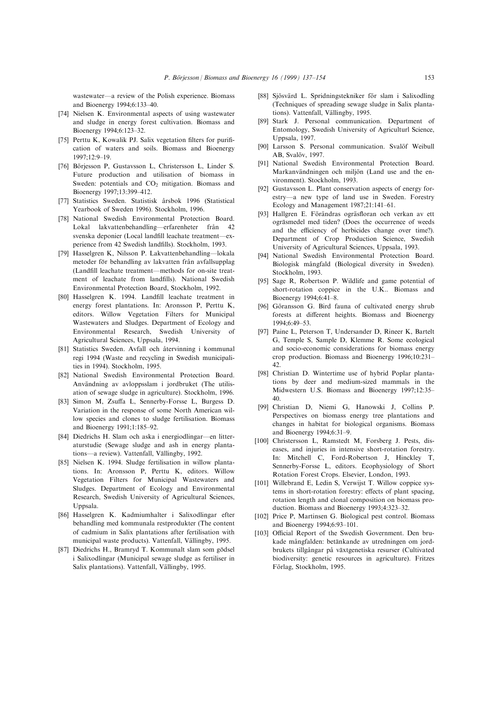wastewater—a review of the Polish experience. Biomass and Bioenergy 1994;6:133-40.

- [74] Nielsen K. Environmental aspects of using wastewater and sludge in energy forest cultivation. Biomass and Bioenergy 1994;6:123-32.
- [75] Perttu K, Kowalik PJ. Salix vegetation filters for purification of waters and soils. Biomass and Bioenergy 1997;12:9±19.
- [76] Börjesson P, Gustavsson L, Christersson L, Linder S. Future production and utilisation of biomass in Sweden: potentials and  $CO<sub>2</sub>$  mitigation. Biomass and Bioenergy 1997;13:399-412.
- [77] Statistics Sweden. Statistisk årsbok 1996 (Statistical Yearbook of Sweden 1996). Stockholm, 1996.
- [78] National Swedish Environmental Protection Board. Lokal lakvattenbehandling—erfarenheter från 42 svenska deponier (Local landfill leachate treatment-experience from 42 Swedish landfills). Stockholm, 1993.
- [79] Hasselgren K, Nilsson P. Lakvattenbehandling—lokala metoder för behandling av lakvatten från avfallsupplag (Landfill leachate treatment—methods for on-site treatment of leachate from landfills). National Swedish Environmental Protection Board, Stockholm, 1992.
- [80] Hasselgren K. 1994. Landfill leachate treatment in energy forest plantations. In: Aronsson P, Perttu K, editors. Willow Vegetation Filters for Municipal Wastewaters and Sludges. Department of Ecology and Environmental Research, Swedish University of Agricultural Sciences, Uppsala, 1994.
- [81] Statistics Sweden. Avfall och återvinning i kommunal regi 1994 (Waste and recycling in Swedish municipalities in 1994). Stockholm, 1995.
- [82] National Swedish Environmental Protection Board. Användning av avloppsslam i jordbruket (The utilisation of sewage sludge in agriculture). Stockholm, 1996.
- [83] Simon M, Zsuffa L, Sennerby-Forsse L, Burgess D. Variation in the response of some North American willow species and clones to sludge fertilisation. Biomass and Bioenergy 1991;1:185-92.
- [84] Diedrichs H. Slam och aska i energiodlingar—en litteraturstudie (Sewage sludge and ash in energy plantations-a review). Vattenfall, Vällingby, 1992.
- [85] Nielsen K. 1994. Sludge fertilisation in willow plantations. In: Aronsson P, Perttu K, editors. Willow Vegetation Filters for Municipal Wastewaters and Sludges. Department of Ecology and Environmental Research, Swedish University of Agricultural Sciences, Uppsala.
- [86] Hasselgren K. Kadmiumhalter i Salixodlingar efter behandling med kommunala restprodukter (The content of cadmium in Salix plantations after fertilisation with municipal waste products). Vattenfall, Vällingby, 1995.
- [87] Diedrichs H., Bramryd T. Kommunalt slam som gödsel i Salixodlingar (Municipal sewage sludge as fertiliser in Salix plantations). Vattenfall, Vällingby, 1995.
- [88] Sjösvärd L. Spridningstekniker för slam i Salixodling (Techniques of spreading sewage sludge in Salix plantations). Vattenfall, Vällingby, 1995.
- [89] Stark J. Personal communication. Department of Entomology, Swedish University of Agriculturl Science, Uppsala, 1997.
- [90] Larsson S. Personal communication. Svalöf Weibull AB, Svalöv, 1997.
- [91] National Swedish Environmental Protection Board. Markanvändningen och miljön (Land use and the environment). Stockholm, 1993.
- [92] Gustavsson L. Plant conservation aspects of energy forestry—a new type of land use in Sweden. Forestry Ecology and Management 1987;21:141-61.
- [93] Hallgren E. Förändras ogräsfloran och verkan av ett ogräsmedel med tiden? (Does the occurrence of weeds and the efficiency of herbicides change over time?). Department of Crop Production Science, Swedish University of Agricultural Sciences, Uppsala, 1993.
- [94] National Swedish Environmental Protection Board. Biologisk mångfald (Biological diversity in Sweden). Stockholm, 1993.
- [95] Sage R, Robertson P. Wildlife and game potential of short-rotation coppice in the U.K.. Biomass and Bioenergy 1994;6:41-8.
- [96] Göransson G. Bird fauna of cultivated energy shrub forests at different heights. Biomass and Bioenergy 1994:6:49-53.
- [97] Paine L, Peterson T, Undersander D, Rineer K, Bartelt G, Temple S, Sample D, Klemme R. Some ecological and socio-economic considerations for biomass energy crop production. Biomass and Bioenergy 1996;10:231-42.
- [98] Christian D. Wintertime use of hybrid Poplar plantations by deer and medium-sized mammals in the Midwestern U.S. Biomass and Bioenergy 1997;12:35-40.
- [99] Christian D, Niemi G, Hanowski J, Collins P. Perspectives on biomass energy tree plantations and changes in habitat for biological organisms. Biomass and Bioenergy 1994;6:31-9.
- [100] Christersson L, Ramstedt M, Forsberg J. Pests, diseases, and injuries in intensive short-rotation forestry. In: Mitchell C, Ford-Robertson J, Hinckley T, Sennerby-Forsse L, editors. Ecophysiology of Short Rotation Forest Crops. Elsevier, London, 1993.
- [101] Willebrand E, Ledin S, Verwijst T. Willow coppice systems in short-rotation forestry: effects of plant spacing, rotation length and clonal composition on biomass production. Biomass and Bioenergy 1993;4:323-32.
- [102] Price P, Martinsen G. Biological pest control. Biomass and Bioenergy 1994;6:93-101.
- [103] Official Report of the Swedish Government. Den brukade mångfalden: betänkande av utredningen om jordbrukets tillgångar på växtgenetiska resurser (Cultivated biodiversity: genetic resources in agriculture). Fritzes Förlag, Stockholm, 1995.